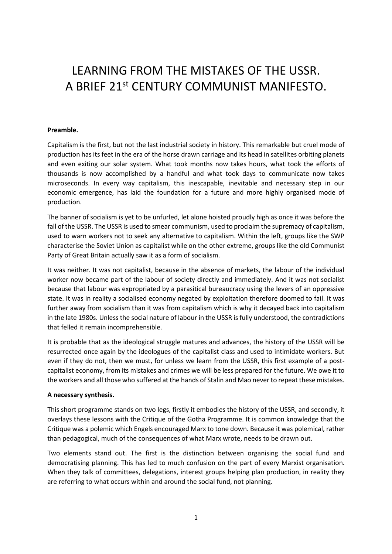# LEARNING FROM THE MISTAKES OF THE USSR. A BRIEF 21st CENTURY COMMUNIST MANIFESTO.

#### **Preamble.**

Capitalism is the first, but not the last industrial society in history. This remarkable but cruel mode of production has its feet in the era of the horse drawn carriage and its head in satellites orbiting planets and even exiting our solar system. What took months now takes hours, what took the efforts of thousands is now accomplished by a handful and what took days to communicate now takes microseconds. In every way capitalism, this inescapable, inevitable and necessary step in our economic emergence, has laid the foundation for a future and more highly organised mode of production.

The banner of socialism is yet to be unfurled, let alone hoisted proudly high as once it was before the fall of the USSR. The USSR is used to smear communism, used to proclaim the supremacy of capitalism, used to warn workers not to seek any alternative to capitalism. Within the left, groups like the SWP characterise the Soviet Union as capitalist while on the other extreme, groups like the old Communist Party of Great Britain actually saw it as a form of socialism.

It was neither. It was not capitalist, because in the absence of markets, the labour of the individual worker now became part of the labour of society directly and immediately. And it was not socialist because that labour was expropriated by a parasitical bureaucracy using the levers of an oppressive state. It was in reality a socialised economy negated by exploitation therefore doomed to fail. It was further away from socialism than it was from capitalism which is why it decayed back into capitalism in the late 1980s. Unless the social nature of labour in the USSR is fully understood, the contradictions that felled it remain incomprehensible.

It is probable that as the ideological struggle matures and advances, the history of the USSR will be resurrected once again by the ideologues of the capitalist class and used to intimidate workers. But even if they do not, then we must, for unless we learn from the USSR, this first example of a postcapitalist economy, from its mistakes and crimes we will be less prepared for the future. We owe it to the workers and all those who suffered at the hands of Stalin and Mao never to repeat these mistakes.

#### **A necessary synthesis.**

This short programme stands on two legs, firstly it embodies the history of the USSR, and secondly, it overlays these lessons with the Critique of the Gotha Programme. It is common knowledge that the Critique was a polemic which Engels encouraged Marx to tone down. Because it was polemical, rather than pedagogical, much of the consequences of what Marx wrote, needs to be drawn out.

Two elements stand out. The first is the distinction between organising the social fund and democratising planning. This has led to much confusion on the part of every Marxist organisation. When they talk of committees, delegations, interest groups helping plan production, in reality they are referring to what occurs within and around the social fund, not planning.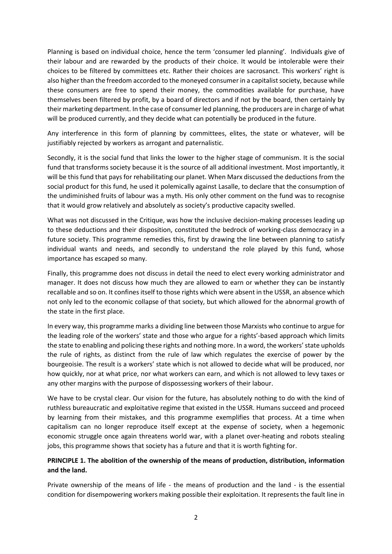Planning is based on individual choice, hence the term 'consumer led planning'. Individuals give of their labour and are rewarded by the products of their choice. It would be intolerable were their choices to be filtered by committees etc. Rather their choices are sacrosanct. This workers' right is also higher than the freedom accorded to the moneyed consumer in a capitalist society, because while these consumers are free to spend their money, the commodities available for purchase, have themselves been filtered by profit, by a board of directors and if not by the board, then certainly by their marketing department. In the case of consumer led planning, the producers are in charge of what will be produced currently, and they decide what can potentially be produced in the future.

Any interference in this form of planning by committees, elites, the state or whatever, will be justifiably rejected by workers as arrogant and paternalistic.

Secondly, it is the social fund that links the lower to the higher stage of communism. It is the social fund that transforms society because it is the source of all additional investment. Most importantly, it will be this fund that pays for rehabilitating our planet. When Marx discussed the deductions from the social product for this fund, he used it polemically against Lasalle, to declare that the consumption of the undiminished fruits of labour was a myth. His only other comment on the fund was to recognise that it would grow relatively and absolutely as society's productive capacity swelled.

What was not discussed in the Critique, was how the inclusive decision-making processes leading up to these deductions and their disposition, constituted the bedrock of working-class democracy in a future society. This programme remedies this, first by drawing the line between planning to satisfy individual wants and needs, and secondly to understand the role played by this fund, whose importance has escaped so many.

Finally, this programme does not discuss in detail the need to elect every working administrator and manager. It does not discuss how much they are allowed to earn or whether they can be instantly recallable and so on. It confines itself to those rights which were absent in the USSR, an absence which not only led to the economic collapse of that society, but which allowed for the abnormal growth of the state in the first place.

In every way, this programme marks a dividing line between those Marxists who continue to argue for the leading role of the workers' state and those who argue for a rights'-based approach which limits the state to enabling and policing these rights and nothing more. In a word, the workers' state upholds the rule of rights, as distinct from the rule of law which regulates the exercise of power by the bourgeoisie. The result is a workers' state which is not allowed to decide what will be produced, nor how quickly, nor at what price, nor what workers can earn, and which is not allowed to levy taxes or any other margins with the purpose of dispossessing workers of their labour.

We have to be crystal clear. Our vision for the future, has absolutely nothing to do with the kind of ruthless bureaucratic and exploitative regime that existed in the USSR. Humans succeed and proceed by learning from their mistakes, and this programme exemplifies that process. At a time when capitalism can no longer reproduce itself except at the expense of society, when a hegemonic economic struggle once again threatens world war, with a planet over-heating and robots stealing jobs, this programme shows that society has a future and that it is worth fighting for.

# **PRINCIPLE 1. The abolition of the ownership of the means of production, distribution, information and the land.**

Private ownership of the means of life - the means of production and the land - is the essential condition for disempowering workers making possible their exploitation. It represents the fault line in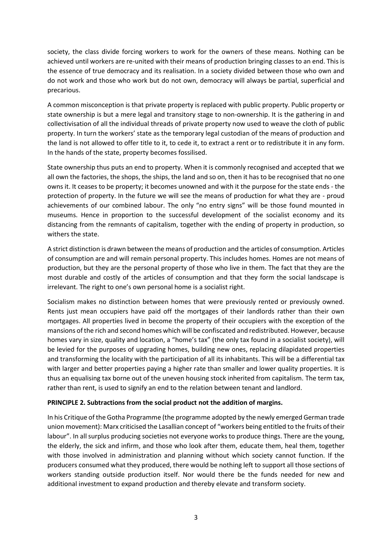society, the class divide forcing workers to work for the owners of these means. Nothing can be achieved until workers are re-united with their means of production bringing classes to an end. This is the essence of true democracy and its realisation. In a society divided between those who own and do not work and those who work but do not own, democracy will always be partial, superficial and precarious.

A common misconception is that private property is replaced with public property. Public property or state ownership is but a mere legal and transitory stage to non-ownership. It is the gathering in and collectivisation of all the individual threads of private property now used to weave the cloth of public property. In turn the workers' state as the temporary legal custodian of the means of production and the land is not allowed to offer title to it, to cede it, to extract a rent or to redistribute it in any form. In the hands of the state, property becomes fossilised.

State ownership thus puts an end to property. When it is commonly recognised and accepted that we all own the factories, the shops, the ships, the land and so on, then it has to be recognised that no one owns it. It ceases to be property; it becomes unowned and with it the purpose for the state ends - the protection of property. In the future we will see the means of production for what they are - proud achievements of our combined labour. The only "no entry signs" will be those found mounted in museums. Hence in proportion to the successful development of the socialist economy and its distancing from the remnants of capitalism, together with the ending of property in production, so withers the state.

A strict distinction is drawn between the means of production and the articles of consumption. Articles of consumption are and will remain personal property. This includes homes. Homes are not means of production, but they are the personal property of those who live in them. The fact that they are the most durable and costly of the articles of consumption and that they form the social landscape is irrelevant. The right to one's own personal home is a socialist right.

Socialism makes no distinction between homes that were previously rented or previously owned. Rents just mean occupiers have paid off the mortgages of their landlords rather than their own mortgages. All properties lived in become the property of their occupiers with the exception of the mansions of the rich and second homes which will be confiscated and redistributed. However, because homes vary in size, quality and location, a "home's tax" (the only tax found in a socialist society), will be levied for the purposes of upgrading homes, building new ones, replacing dilapidated properties and transforming the locality with the participation of all its inhabitants. This will be a differential tax with larger and better properties paying a higher rate than smaller and lower quality properties. It is thus an equalising tax borne out of the uneven housing stock inherited from capitalism. The term tax, rather than rent, is used to signify an end to the relation between tenant and landlord.

# **PRINCIPLE 2. Subtractions from the social product not the addition of margins.**

In his Critique of the Gotha Programme (the programme adopted by the newly emerged German trade union movement): Marx criticised the Lasallian concept of "workers being entitled to the fruits of their labour". In all surplus producing societies not everyone works to produce things. There are the young, the elderly, the sick and infirm, and those who look after them, educate them, heal them, together with those involved in administration and planning without which society cannot function. If the producers consumed what they produced, there would be nothing left to support all those sections of workers standing outside production itself. Nor would there be the funds needed for new and additional investment to expand production and thereby elevate and transform society.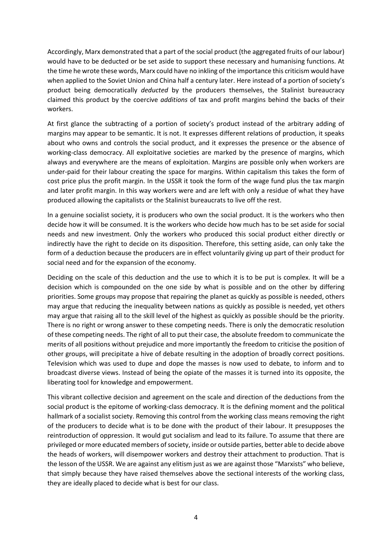Accordingly, Marx demonstrated that a part of the social product (the aggregated fruits of our labour) would have to be deducted or be set aside to support these necessary and humanising functions. At the time he wrote these words, Marx could have no inkling of the importance this criticism would have when applied to the Soviet Union and China half a century later. Here instead of a portion of society's product being democratically *deducted* by the producers themselves, the Stalinist bureaucracy claimed this product by the coercive *additions* of tax and profit margins behind the backs of their workers.

At first glance the subtracting of a portion of society's product instead of the arbitrary adding of margins may appear to be semantic. It is not. It expresses different relations of production, it speaks about who owns and controls the social product, and it expresses the presence or the absence of working-class democracy. All exploitative societies are marked by the presence of margins, which always and everywhere are the means of exploitation. Margins are possible only when workers are under-paid for their labour creating the space for margins. Within capitalism this takes the form of cost price plus the profit margin. In the USSR it took the form of the wage fund plus the tax margin and later profit margin. In this way workers were and are left with only a residue of what they have produced allowing the capitalists or the Stalinist bureaucrats to live off the rest.

In a genuine socialist society, it is producers who own the social product. It is the workers who then decide how it will be consumed. It is the workers who decide how much has to be set aside for social needs and new investment. Only the workers who produced this social product either directly or indirectly have the right to decide on its disposition. Therefore, this setting aside, can only take the form of a deduction because the producers are in effect voluntarily giving up part of their product for social need and for the expansion of the economy.

Deciding on the scale of this deduction and the use to which it is to be put is complex. It will be a decision which is compounded on the one side by what is possible and on the other by differing priorities. Some groups may propose that repairing the planet as quickly as possible is needed, others may argue that reducing the inequality between nations as quickly as possible is needed, yet others may argue that raising all to the skill level of the highest as quickly as possible should be the priority. There is no right or wrong answer to these competing needs. There is only the democratic resolution of these competing needs. The right of all to put their case, the absolute freedom to communicate the merits of all positions without prejudice and more importantly the freedom to criticise the position of other groups, will precipitate a hive of debate resulting in the adoption of broadly correct positions. Television which was used to dupe and dope the masses is now used to debate, to inform and to broadcast diverse views. Instead of being the opiate of the masses it is turned into its opposite, the liberating tool for knowledge and empowerment.

This vibrant collective decision and agreement on the scale and direction of the deductions from the social product is the epitome of working-class democracy. It is the defining moment and the political hallmark of a socialist society. Removing this control from the working class means removing the right of the producers to decide what is to be done with the product of their labour. It presupposes the reintroduction of oppression. It would gut socialism and lead to its failure. To assume that there are privileged or more educated members of society, inside or outside parties, better able to decide above the heads of workers, will disempower workers and destroy their attachment to production. That is the lesson of the USSR. We are against any elitism just as we are against those "Marxists" who believe, that simply because they have raised themselves above the sectional interests of the working class, they are ideally placed to decide what is best for our class.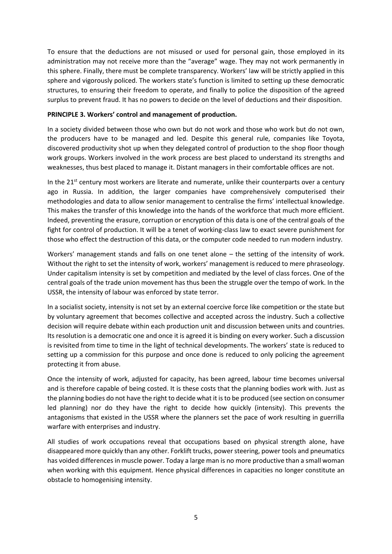To ensure that the deductions are not misused or used for personal gain, those employed in its administration may not receive more than the "average" wage. They may not work permanently in this sphere. Finally, there must be complete transparency. Workers' law will be strictly applied in this sphere and vigorously policed. The workers state's function is limited to setting up these democratic structures, to ensuring their freedom to operate, and finally to police the disposition of the agreed surplus to prevent fraud. It has no powers to decide on the level of deductions and their disposition.

## **PRINCIPLE 3. Workers' control and management of production.**

In a society divided between those who own but do not work and those who work but do not own, the producers have to be managed and led. Despite this general rule, companies like Toyota, discovered productivity shot up when they delegated control of production to the shop floor though work groups. Workers involved in the work process are best placed to understand its strengths and weaknesses, thus best placed to manage it. Distant managers in their comfortable offices are not.

In the  $21<sup>st</sup>$  century most workers are literate and numerate, unlike their counterparts over a century ago in Russia. In addition, the larger companies have comprehensively computerised their methodologies and data to allow senior management to centralise the firms' intellectual knowledge. This makes the transfer of this knowledge into the hands of the workforce that much more efficient. Indeed, preventing the erasure, corruption or encryption of this data is one of the central goals of the fight for control of production. It will be a tenet of working-class law to exact severe punishment for those who effect the destruction of this data, or the computer code needed to run modern industry.

Workers' management stands and falls on one tenet alone – the setting of the intensity of work. Without the right to set the intensity of work, workers' management is reduced to mere phraseology. Under capitalism intensity is set by competition and mediated by the level of class forces. One of the central goals of the trade union movement has thus been the struggle over the tempo of work. In the USSR, the intensity of labour was enforced by state terror.

In a socialist society, intensity is not set by an external coercive force like competition or the state but by voluntary agreement that becomes collective and accepted across the industry. Such a collective decision will require debate within each production unit and discussion between units and countries. Its resolution is a democratic one and once it is agreed it is binding on every worker. Such a discussion is revisited from time to time in the light of technical developments. The workers' state is reduced to setting up a commission for this purpose and once done is reduced to only policing the agreement protecting it from abuse.

Once the intensity of work, adjusted for capacity, has been agreed, labour time becomes universal and is therefore capable of being costed. It is these costs that the planning bodies work with. Just as the planning bodies do not have the right to decide what it is to be produced (see section on consumer led planning) nor do they have the right to decide how quickly (intensity). This prevents the antagonisms that existed in the USSR where the planners set the pace of work resulting in guerrilla warfare with enterprises and industry.

All studies of work occupations reveal that occupations based on physical strength alone, have disappeared more quickly than any other. Forklift trucks, power steering, power tools and pneumatics has voided differences in muscle power. Today a large man is no more productive than a small woman when working with this equipment. Hence physical differences in capacities no longer constitute an obstacle to homogenising intensity.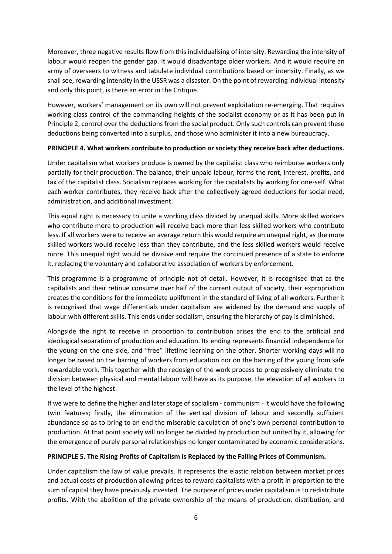Moreover, three negative results flow from this individualising of intensity. Rewarding the intensity of labour would reopen the gender gap. It would disadvantage older workers. And it would require an army of overseers to witness and tabulate individual contributions based on intensity. Finally, as we shall see, rewarding intensity in the USSR was a disaster. On the point of rewarding individual intensity and only this point, is there an error in the Critique.

However, workers' management on its own will not prevent exploitation re-emerging. That requires working class control of the commanding heights of the socialist economy or as it has been put in Principle 2, control over the deductions from the social product. Only such controls can prevent these deductions being converted into a surplus, and those who administer it into a new bureaucracy.

## **PRINCIPLE 4. What workers contribute to production or society they receive back after deductions.**

Under capitalism what workers produce is owned by the capitalist class who reimburse workers only partially for their production. The balance, their unpaid labour, forms the rent, interest, profits, and tax of the capitalist class. Socialism replaces working for the capitalists by working for one-self. What each worker contributes, they receive back after the collectively agreed deductions for social need, administration, and additional investment.

This equal right is necessary to unite a working class divided by unequal skills. More skilled workers who contribute more to production will receive back more than less skilled workers who contribute less. If all workers were to receive an average return this would require an unequal right, as the more skilled workers would receive less than they contribute, and the less skilled workers would receive more. This unequal right would be divisive and require the continued presence of a state to enforce it, replacing the voluntary and collaborative association of workers by enforcement.

This programme is a programme of principle not of detail. However, it is recognised that as the capitalists and their retinue consume over half of the current output of society, their expropriation creates the conditions for the immediate upliftment in the standard of living of all workers. Further it is recognised that wage differentials under capitalism are widened by the demand and supply of labour with different skills. This ends under socialism, ensuring the hierarchy of pay is diminished.

Alongside the right to receive in proportion to contribution arises the end to the artificial and ideological separation of production and education. Its ending represents financial independence for the young on the one side, and "free" lifetime learning on the other. Shorter working days will no longer be based on the barring of workers from education nor on the barring of the young from safe rewardable work. This together with the redesign of the work process to progressively eliminate the division between physical and mental labour will have as its purpose, the elevation of all workers to the level of the highest.

If we were to define the higher and later stage of socialism - communism - it would have the following twin features; firstly, the elimination of the vertical division of labour and secondly sufficient abundance so as to bring to an end the miserable calculation of one's own personal contribution to production. At that point society will no longer be divided by production but united by it, allowing for the emergence of purely personal relationships no longer contaminated by economic considerations.

# **PRINCIPLE 5. The Rising Profits of Capitalism is Replaced by the Falling Prices of Communism.**

Under capitalism the law of value prevails. It represents the elastic relation between market prices and actual costs of production allowing prices to reward capitalists with a profit in proportion to the sum of capital they have previously invested. The purpose of prices under capitalism is to redistribute profits. With the abolition of the private ownership of the means of production, distribution, and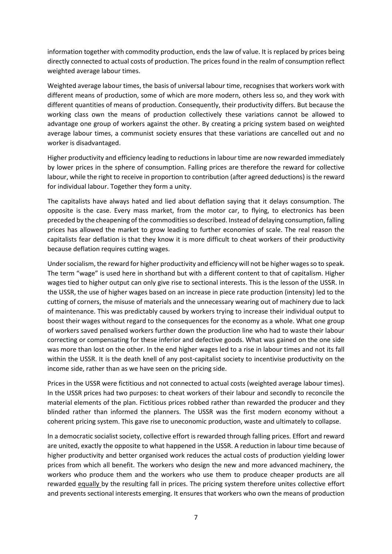information together with commodity production, ends the law of value. It is replaced by prices being directly connected to actual costs of production. The prices found in the realm of consumption reflect weighted average labour times.

Weighted average labour times, the basis of universal labour time, recognises that workers work with different means of production, some of which are more modern, others less so, and they work with different quantities of means of production. Consequently, their productivity differs. But because the working class own the means of production collectively these variations cannot be allowed to advantage one group of workers against the other. By creating a pricing system based on weighted average labour times, a communist society ensures that these variations are cancelled out and no worker is disadvantaged.

Higher productivity and efficiency leading to reductions in labour time are now rewarded immediately by lower prices in the sphere of consumption. Falling prices are therefore the reward for collective labour, while the right to receive in proportion to contribution (after agreed deductions) is the reward for individual labour. Together they form a unity.

The capitalists have always hated and lied about deflation saying that it delays consumption. The opposite is the case. Every mass market, from the motor car, to flying, to electronics has been preceded by the cheapening of the commodities so described. Instead of delaying consumption, falling prices has allowed the market to grow leading to further economies of scale. The real reason the capitalists fear deflation is that they know it is more difficult to cheat workers of their productivity because deflation requires cutting wages.

Under socialism, the reward for higher productivity and efficiency will not be higher wages so to speak. The term "wage" is used here in shorthand but with a different content to that of capitalism. Higher wages tied to higher output can only give rise to sectional interests. This is the lesson of the USSR. In the USSR, the use of higher wages based on an increase in piece rate production (intensity) led to the cutting of corners, the misuse of materials and the unnecessary wearing out of machinery due to lack of maintenance. This was predictably caused by workers trying to increase their individual output to boost their wages without regard to the consequences for the economy as a whole. What one group of workers saved penalised workers further down the production line who had to waste their labour correcting or compensating for these inferior and defective goods. What was gained on the one side was more than lost on the other. In the end higher wages led to a rise in labour times and not its fall within the USSR. It is the death knell of any post-capitalist society to incentivise productivity on the income side, rather than as we have seen on the pricing side.

Prices in the USSR were fictitious and not connected to actual costs (weighted average labour times). In the USSR prices had two purposes: to cheat workers of their labour and secondly to reconcile the material elements of the plan. Fictitious prices robbed rather than rewarded the producer and they blinded rather than informed the planners. The USSR was the first modern economy without a coherent pricing system. This gave rise to uneconomic production, waste and ultimately to collapse.

In a democratic socialist society, collective effort is rewarded through falling prices. Effort and reward are united, exactly the opposite to what happened in the USSR. A reduction in labour time because of higher productivity and better organised work reduces the actual costs of production yielding lower prices from which all benefit. The workers who design the new and more advanced machinery, the workers who produce them and the workers who use them to produce cheaper products are all rewarded equally by the resulting fall in prices. The pricing system therefore unites collective effort and prevents sectional interests emerging. It ensures that workers who own the means of production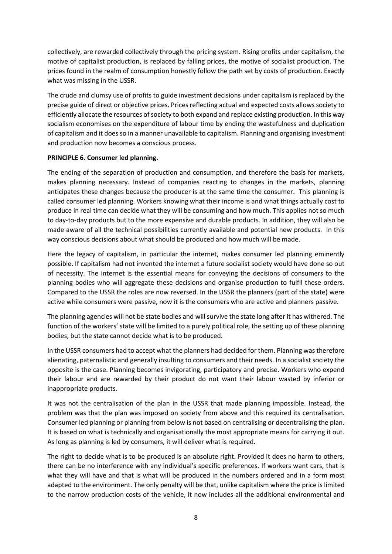collectively, are rewarded collectively through the pricing system. Rising profits under capitalism, the motive of capitalist production, is replaced by falling prices, the motive of socialist production. The prices found in the realm of consumption honestly follow the path set by costs of production. Exactly what was missing in the USSR.

The crude and clumsy use of profits to guide investment decisions under capitalism is replaced by the precise guide of direct or objective prices. Prices reflecting actual and expected costs allows society to efficiently allocate the resources of society to both expand and replace existing production. In this way socialism economises on the expenditure of labour time by ending the wastefulness and duplication of capitalism and it does so in a manner unavailable to capitalism. Planning and organising investment and production now becomes a conscious process.

## **PRINCIPLE 6. Consumer led planning.**

The ending of the separation of production and consumption, and therefore the basis for markets, makes planning necessary. Instead of companies reacting to changes in the markets, planning anticipates these changes because the producer is at the same time the consumer. This planning is called consumer led planning. Workers knowing what their income is and what things actually cost to produce in real time can decide what they will be consuming and how much. This applies not so much to day-to-day products but to the more expensive and durable products. In addition, they will also be made aware of all the technical possibilities currently available and potential new products. In this way conscious decisions about what should be produced and how much will be made.

Here the legacy of capitalism, in particular the internet, makes consumer led planning eminently possible. If capitalism had not invented the internet a future socialist society would have done so out of necessity. The internet is the essential means for conveying the decisions of consumers to the planning bodies who will aggregate these decisions and organise production to fulfil these orders. Compared to the USSR the roles are now reversed. In the USSR the planners (part of the state) were active while consumers were passive, now it is the consumers who are active and planners passive.

The planning agencies will not be state bodies and will survive the state long after it has withered. The function of the workers' state will be limited to a purely political role, the setting up of these planning bodies, but the state cannot decide what is to be produced.

In the USSR consumers had to accept what the planners had decided for them. Planning was therefore alienating, paternalistic and generally insulting to consumers and their needs. In a socialist society the opposite is the case. Planning becomes invigorating, participatory and precise. Workers who expend their labour and are rewarded by their product do not want their labour wasted by inferior or inappropriate products.

It was not the centralisation of the plan in the USSR that made planning impossible. Instead, the problem was that the plan was imposed on society from above and this required its centralisation. Consumer led planning or planning from below is not based on centralising or decentralising the plan. It is based on what is technically and organisationally the most appropriate means for carrying it out. As long as planning is led by consumers, it will deliver what is required.

The right to decide what is to be produced is an absolute right. Provided it does no harm to others, there can be no interference with any individual's specific preferences. If workers want cars, that is what they will have and that is what will be produced in the numbers ordered and in a form most adapted to the environment. The only penalty will be that, unlike capitalism where the price is limited to the narrow production costs of the vehicle, it now includes all the additional environmental and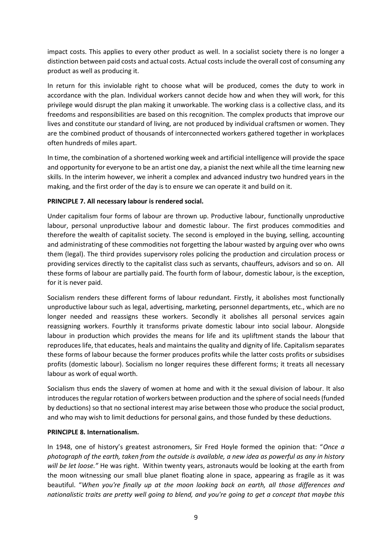impact costs. This applies to every other product as well. In a socialist society there is no longer a distinction between paid costs and actual costs. Actual costs include the overall cost of consuming any product as well as producing it.

In return for this inviolable right to choose what will be produced, comes the duty to work in accordance with the plan. Individual workers cannot decide how and when they will work, for this privilege would disrupt the plan making it unworkable. The working class is a collective class, and its freedoms and responsibilities are based on this recognition. The complex products that improve our lives and constitute our standard of living, are not produced by individual craftsmen or women. They are the combined product of thousands of interconnected workers gathered together in workplaces often hundreds of miles apart.

In time, the combination of a shortened working week and artificial intelligence will provide the space and opportunity for everyone to be an artist one day, a pianist the next while all the time learning new skills. In the interim however, we inherit a complex and advanced industry two hundred years in the making, and the first order of the day is to ensure we can operate it and build on it.

# **PRINCIPLE 7. All necessary labour is rendered social.**

Under capitalism four forms of labour are thrown up. Productive labour, functionally unproductive labour, personal unproductive labour and domestic labour. The first produces commodities and therefore the wealth of capitalist society. The second is employed in the buying, selling, accounting and administrating of these commodities not forgetting the labour wasted by arguing over who owns them (legal). The third provides supervisory roles policing the production and circulation process or providing services directly to the capitalist class such as servants, chauffeurs, advisors and so on. All these forms of labour are partially paid. The fourth form of labour, domestic labour, is the exception, for it is never paid.

Socialism renders these different forms of labour redundant. Firstly, it abolishes most functionally unproductive labour such as legal, advertising, marketing, personnel departments, etc., which are no longer needed and reassigns these workers. Secondly it abolishes all personal services again reassigning workers. Fourthly it transforms private domestic labour into social labour. Alongside labour in production which provides the means for life and its upliftment stands the labour that reproduces life, that educates, heals and maintains the quality and dignity of life. Capitalism separates these forms of labour because the former produces profits while the latter costs profits or subsidises profits (domestic labour). Socialism no longer requires these different forms; it treats all necessary labour as work of equal worth.

Socialism thus ends the slavery of women at home and with it the sexual division of labour. It also introduces the regular rotation of workers between production and the sphere of social needs (funded by deductions) so that no sectional interest may arise between those who produce the social product, and who may wish to limit deductions for personal gains, and those funded by these deductions.

#### **PRINCIPLE 8. Internationalism.**

In 1948, one of history's greatest astronomers, Sir Fred Hoyle formed the opinion that: "*Once a photograph of the earth, taken from the outside is available, a new idea as powerful as any in history will be let loose."* He was right. Within twenty years, astronauts would be looking at the earth from the moon witnessing our small blue planet floating alone in space, appearing as fragile as it was beautiful. "*When you're finally up at the moon looking back on earth, all those differences and nationalistic traits are pretty well going to blend, and you're going to get a concept that maybe this*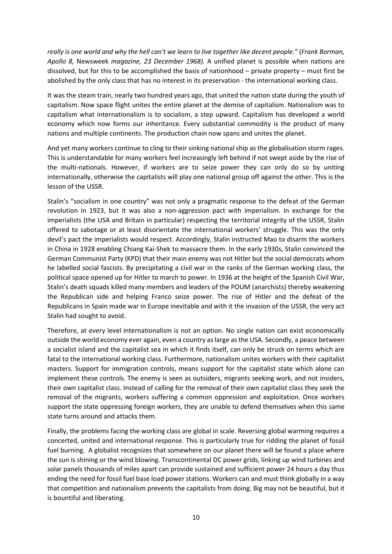*really is one world and why the hell can't we learn to live together like decent people."* (*Frank Borman, Apollo 8,* Newsweek *magazine, 23 December 1968).* A unified planet is possible when nations are dissolved, but for this to be accomplished the basis of nationhood – private property – must first be abolished by the only class that has no interest in its preservation - the international working class.

It was the steam train, nearly two hundred years ago, that united the nation state during the youth of capitalism. Now space flight unites the entire planet at the demise of capitalism. Nationalism was to capitalism what internationalism is to socialism, a step upward. Capitalism has developed a world economy which now forms our inheritance. Every substantial commodity is the product of many nations and multiple continents. The production chain now spans and unites the planet.

And yet many workers continue to cling to their sinking national ship as the globalisation storm rages. This is understandable for many workers feel increasingly left behind if not swept aside by the rise of the multi-nationals. However, if workers are to seize power they can only do so by uniting internationally, otherwise the capitalists will play one national group off against the other. This is the lesson of the USSR.

Stalin's "socialism in one country" was not only a pragmatic response to the defeat of the German revolution in 1923, but it was also a non-aggression pact with imperialism. In exchange for the imperialists (the USA and Britain in particular) respecting the territorial integrity of the USSR, Stalin offered to sabotage or at least disorientate the international workers' struggle. This was the only devil's pact the imperialists would respect. Accordingly, Stalin instructed Mao to disarm the workers in China in 1928 enabling Chiang Kai-Shek to massacre them. In the early 1930s, Stalin convinced the German Communist Party (KPD) that their main enemy was not Hitler but the social democrats whom he labelled social fascists. By precipitating a civil war in the ranks of the German working class, the political space opened up for Hitler to march to power. In 1936 at the height of the Spanish Civil War, Stalin's death squads killed many members and leaders of the POUM (anarchists) thereby weakening the Republican side and helping Franco seize power. The rise of Hitler and the defeat of the Republicans in Spain made war in Europe inevitable and with it the invasion of the USSR, the very act Stalin had sought to avoid.

Therefore, at every level internationalism is not an option. No single nation can exist economically outside the world economy ever again, even a country as large as the USA. Secondly, a peace between a socialist island and the capitalist sea in which it finds itself, can only be struck on terms which are fatal to the international working class. Furthermore, nationalism unites workers with their capitalist masters. Support for immigration controls, means support for the capitalist state which alone can implement these controls. The enemy is seen as outsiders, migrants seeking work, and not insiders, their own capitalist class. Instead of calling for the removal of their own capitalist class they seek the removal of the migrants, workers suffering a common oppression and exploitation. Once workers support the state oppressing foreign workers, they are unable to defend themselves when this same state turns around and attacks them.

Finally, the problems facing the working class are global in scale. Reversing global warming requires a concerted, united and international response. This is particularly true for ridding the planet of fossil fuel burning. A globalist recognizes that somewhere on our planet there will be found a place where the sun is shining or the wind blowing. Transcontinental DC power grids, linking up wind turbines and solar panels thousands of miles apart can provide sustained and sufficient power 24 hours a day thus ending the need for fossil fuel base load power stations. Workers can and must think globally in a way that competition and nationalism prevents the capitalists from doing. Big may not be beautiful, but it is bountiful and liberating.